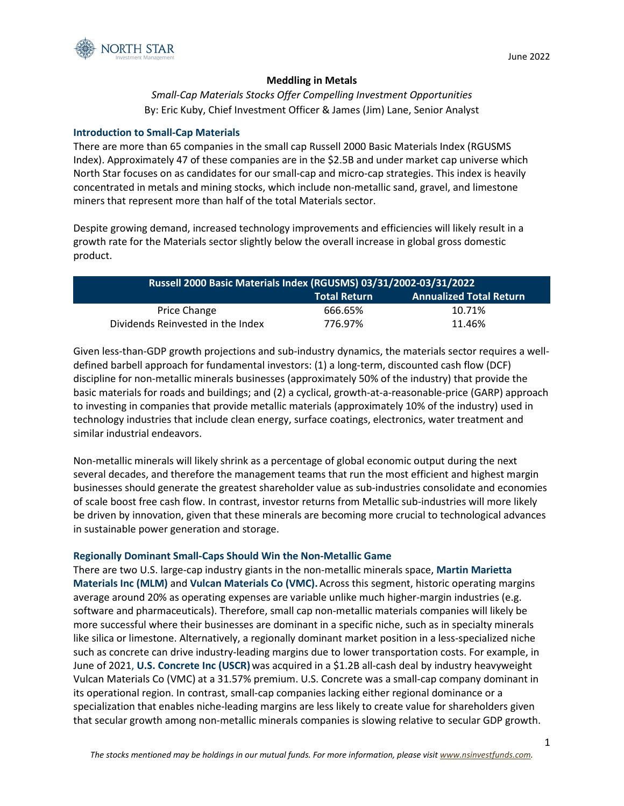

# **Meddling in Metals**

*Small-Cap Materials Stocks Offer Compelling Investment Opportunities* By: Eric Kuby, Chief Investment Officer & James (Jim) Lane, Senior Analyst

## **Introduction to Small-Cap Materials**

There are more than 65 companies in the small cap Russell 2000 Basic Materials Index (RGUSMS Index). Approximately 47 of these companies are in the \$2.5B and under market cap universe which North Star focuses on as candidates for our small-cap and micro-cap strategies. This index is heavily concentrated in metals and mining stocks, which include non-metallic sand, gravel, and limestone miners that represent more than half of the total Materials sector.

Despite growing demand, increased technology improvements and efficiencies will likely result in a growth rate for the Materials sector slightly below the overall increase in global gross domestic product.

| Russell 2000 Basic Materials Index (RGUSMS) 03/31/2002-03/31/2022 |                     |                                |  |  |  |  |
|-------------------------------------------------------------------|---------------------|--------------------------------|--|--|--|--|
|                                                                   | <b>Total Return</b> | <b>Annualized Total Return</b> |  |  |  |  |
| <b>Price Change</b>                                               | 666.65%             | 10.71%                         |  |  |  |  |
| Dividends Reinvested in the Index                                 | 776.97%             | 11.46%                         |  |  |  |  |

Given less-than-GDP growth projections and sub-industry dynamics, the materials sector requires a welldefined barbell approach for fundamental investors: (1) a long-term, discounted cash flow (DCF) discipline for non-metallic minerals businesses (approximately 50% of the industry) that provide the basic materials for roads and buildings; and (2) a cyclical, growth-at-a-reasonable-price (GARP) approach to investing in companies that provide metallic materials (approximately 10% of the industry) used in technology industries that include clean energy, surface coatings, electronics, water treatment and similar industrial endeavors.

Non-metallic minerals will likely shrink as a percentage of global economic output during the next several decades, and therefore the management teams that run the most efficient and highest margin businesses should generate the greatest shareholder value as sub-industries consolidate and economies of scale boost free cash flow. In contrast, investor returns from Metallic sub-industries will more likely be driven by innovation, given that these minerals are becoming more crucial to technological advances in sustainable power generation and storage.

# **Regionally Dominant Small-Caps Should Win the Non-Metallic Game**

There are two U.S. large-cap industry giants in the non-metallic minerals space, **Martin Marietta Materials Inc (MLM)** and **Vulcan Materials Co (VMC).**Across this segment, historic operating margins average around 20% as operating expenses are variable unlike much higher-margin industries (e.g. software and pharmaceuticals). Therefore, small cap non-metallic materials companies will likely be more successful where their businesses are dominant in a specific niche, such as in specialty minerals like silica or limestone. Alternatively, a regionally dominant market position in a less-specialized niche such as concrete can drive industry-leading margins due to lower transportation costs. For example, in June of 2021, **U.S. Concrete Inc (USCR)** was acquired in a \$1.2B all-cash deal by industry heavyweight Vulcan Materials Co (VMC) at a 31.57% premium. U.S. Concrete was a small-cap company dominant in its operational region. In contrast, small-cap companies lacking either regional dominance or a specialization that enables niche-leading margins are less likely to create value for shareholders given that secular growth among non-metallic minerals companies is slowing relative to secular GDP growth.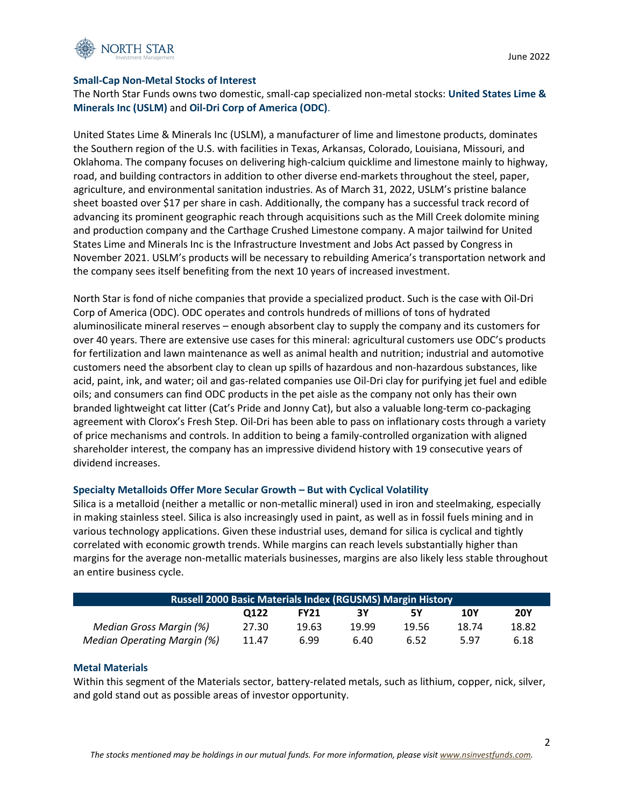

## **Small-Cap Non-Metal Stocks of Interest**

The North Star Funds owns two domestic, small-cap specialized non-metal stocks: **United States Lime & Minerals Inc (USLM)** and **Oil-Dri Corp of America (ODC)**.

United States Lime & Minerals Inc (USLM), a manufacturer of lime and limestone products, dominates the Southern region of the U.S. with facilities in Texas, Arkansas, Colorado, Louisiana, Missouri, and Oklahoma. The company focuses on delivering high-calcium quicklime and limestone mainly to highway, road, and building contractors in addition to other diverse end-markets throughout the steel, paper, agriculture, and environmental sanitation industries. As of March 31, 2022, USLM's pristine balance sheet boasted over \$17 per share in cash. Additionally, the company has a successful track record of advancing its prominent geographic reach through acquisitions such as the Mill Creek dolomite mining and production company and the Carthage Crushed Limestone company. A major tailwind for United States Lime and Minerals Inc is the Infrastructure Investment and Jobs Act passed by Congress in November 2021. USLM's products will be necessary to rebuilding America's transportation network and the company sees itself benefiting from the next 10 years of increased investment.

North Star is fond of niche companies that provide a specialized product. Such is the case with Oil-Dri Corp of America (ODC). ODC operates and controls hundreds of millions of tons of hydrated aluminosilicate mineral reserves – enough absorbent clay to supply the company and its customers for over 40 years. There are extensive use cases for this mineral: agricultural customers use ODC's products for fertilization and lawn maintenance as well as animal health and nutrition; industrial and automotive customers need the absorbent clay to clean up spills of hazardous and non-hazardous substances, like acid, paint, ink, and water; oil and gas-related companies use Oil-Dri clay for purifying jet fuel and edible oils; and consumers can find ODC products in the pet aisle as the company not only has their own branded lightweight cat litter (Cat's Pride and Jonny Cat), but also a valuable long-term co-packaging agreement with Clorox's Fresh Step. Oil-Dri has been able to pass on inflationary costs through a variety of price mechanisms and controls. In addition to being a family-controlled organization with aligned shareholder interest, the company has an impressive dividend history with 19 consecutive years of dividend increases.

## **Specialty Metalloids Offer More Secular Growth – But with Cyclical Volatility**

Silica is a metalloid (neither a metallic or non-metallic mineral) used in iron and steelmaking, especially in making stainless steel. Silica is also increasingly used in paint, as well as in fossil fuels mining and in various technology applications. Given these industrial uses, demand for silica is cyclical and tightly correlated with economic growth trends. While margins can reach levels substantially higher than margins for the average non-metallic materials businesses, margins are also likely less stable throughout an entire business cycle.

| Russell 2000 Basic Materials Index (RGUSMS) Margin History |       |             |       |       |       |            |  |  |
|------------------------------------------------------------|-------|-------------|-------|-------|-------|------------|--|--|
|                                                            | O122  | <b>FY21</b> | 3Υ    | 5Υ    | 10Y   | <b>20Y</b> |  |  |
| Median Gross Margin (%)                                    | 27.30 | 19.63       | 19.99 | 19.56 | 18.74 | 18.82      |  |  |
| Median Operating Margin (%)                                | 11.47 | 6.99        | 6.40  | 6.52  | 5.97  | 6.18       |  |  |

## **Metal Materials**

Within this segment of the Materials sector, battery-related metals, such as lithium, copper, nick, silver, and gold stand out as possible areas of investor opportunity.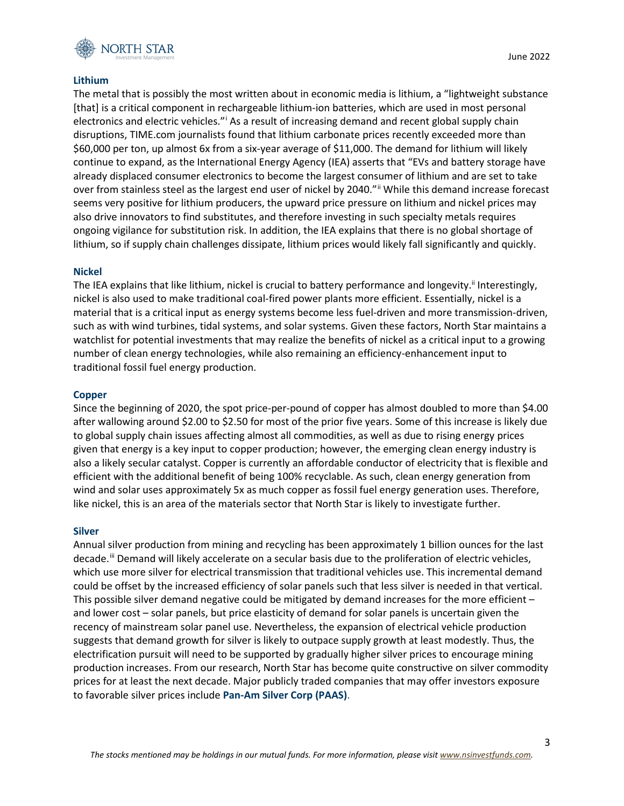

## **Lithium**

The metal that is possibly the most written about in economic media is lithium, a "lightweight substance [that] is a critical component in rechargeable lithium-ion batteries, which are used in most personal electronics and electric vehicles."[i](#page-6-0) As a result of increasing demand and recent global supply chain disruptions, TIME.com journalists found that lithium carbonate prices recently exceeded more than \$60,000 per ton, up almost 6x from a six-year average of \$11,000. The demand for lithium will likely continue to expand, as the International Energy Agency (IEA) asserts that "EVs and battery storage have already displaced consumer electronics to become the largest consumer of lithium and are set to take over from stainless steel as the largest end user of nickel by 2040."[ii](#page-6-1) While this demand increase forecast seems very positive for lithium producers, the upward price pressure on lithium and nickel prices may also drive innovators to find substitutes, and therefore investing in such specialty metals requires ongoing vigilance for substitution risk. In addition, the IEA explains that there is no global shortage of lithium, so if supply chain challenges dissipate, lithium prices would likely fall significantly and quickly.

### **Nickel**

The IEA explains that like lithium, nickel is crucial to battery performance and longevity.<sup>ii</sup> Interestingly, nickel is also used to make traditional coal-fired power plants more efficient. Essentially, nickel is a material that is a critical input as energy systems become less fuel-driven and more transmission-driven, such as with wind turbines, tidal systems, and solar systems. Given these factors, North Star maintains a watchlist for potential investments that may realize the benefits of nickel as a critical input to a growing number of clean energy technologies, while also remaining an efficiency-enhancement input to traditional fossil fuel energy production.

#### **Copper**

Since the beginning of 2020, the spot price-per-pound of copper has almost doubled to more than \$4.00 after wallowing around \$2.00 to \$2.50 for most of the prior five years. Some of this increase is likely due to global supply chain issues affecting almost all commodities, as well as due to rising energy prices given that energy is a key input to copper production; however, the emerging clean energy industry is also a likely secular catalyst. Copper is currently an affordable conductor of electricity that is flexible and efficient with the additional benefit of being 100% recyclable. As such, clean energy generation from wind and solar uses approximately 5x as much copper as fossil fuel energy generation uses. Therefore, like nickel, this is an area of the materials sector that North Star is likely to investigate further.

#### **Silver**

Annual silver production from mining and recycling has been approximately 1 billion ounces for the last decade.<sup>[iii](#page-6-2)</sup> Demand will likely accelerate on a secular basis due to the proliferation of electric vehicles, which use more silver for electrical transmission that traditional vehicles use. This incremental demand could be offset by the increased efficiency of solar panels such that less silver is needed in that vertical. This possible silver demand negative could be mitigated by demand increases for the more efficient – and lower cost – solar panels, but price elasticity of demand for solar panels is uncertain given the recency of mainstream solar panel use. Nevertheless, the expansion of electrical vehicle production suggests that demand growth for silver is likely to outpace supply growth at least modestly. Thus, the electrification pursuit will need to be supported by gradually higher silver prices to encourage mining production increases. From our research, North Star has become quite constructive on silver commodity prices for at least the next decade. Major publicly traded companies that may offer investors exposure to favorable silver prices include **Pan-Am Silver Corp (PAAS)**.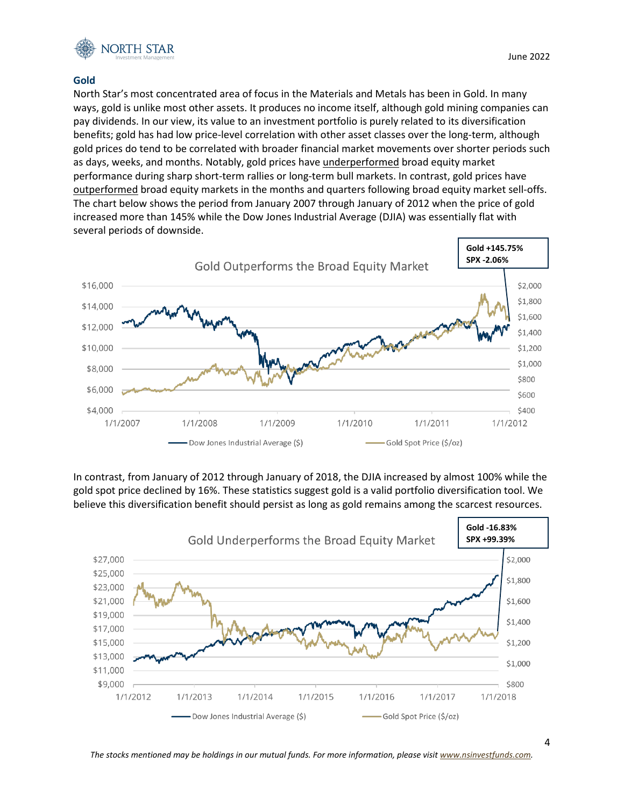

## **Gold**

North Star's most concentrated area of focus in the Materials and Metals has been in Gold. In many ways, gold is unlike most other assets. It produces no income itself, although gold mining companies can pay dividends. In our view, its value to an investment portfolio is purely related to its diversification benefits; gold has had low price-level correlation with other asset classes over the long-term, although gold prices do tend to be correlated with broader financial market movements over shorter periods such as days, weeks, and months. Notably, gold prices have underperformed broad equity market performance during sharp short-term rallies or long-term bull markets. In contrast, gold prices have outperformed broad equity markets in the months and quarters following broad equity market sell-offs. The chart below shows the period from January 2007 through January of 2012 when the price of gold increased more than 145% while the Dow Jones Industrial Average (DJIA) was essentially flat with several periods of downside.



In contrast, from January of 2012 through January of 2018, the DJIA increased by almost 100% while the gold spot price declined by 16%. These statistics suggest gold is a valid portfolio diversification tool. We believe this diversification benefit should persist as long as gold remains among the scarcest resources.



*The stocks mentioned may be holdings in our mutual funds. For more information, please visit [www.nsinvestfunds.com.](http://www.nsinvestfunds.com/)*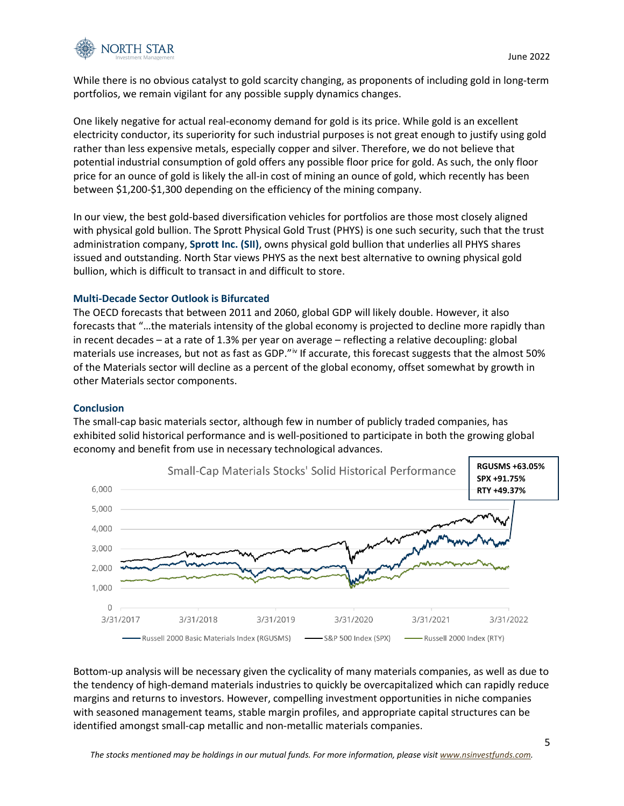

While there is no obvious catalyst to gold scarcity changing, as proponents of including gold in long-term portfolios, we remain vigilant for any possible supply dynamics changes.

One likely negative for actual real-economy demand for gold is its price. While gold is an excellent electricity conductor, its superiority for such industrial purposes is not great enough to justify using gold rather than less expensive metals, especially copper and silver. Therefore, we do not believe that potential industrial consumption of gold offers any possible floor price for gold. As such, the only floor price for an ounce of gold is likely the all-in cost of mining an ounce of gold, which recently has been between \$1,200-\$1,300 depending on the efficiency of the mining company.

In our view, the best gold-based diversification vehicles for portfolios are those most closely aligned with physical gold bullion. The Sprott Physical Gold Trust (PHYS) is one such security, such that the trust administration company, **Sprott Inc. (SII)**, owns physical gold bullion that underlies all PHYS shares issued and outstanding. North Star views PHYS as the next best alternative to owning physical gold bullion, which is difficult to transact in and difficult to store.

# **Multi-Decade Sector Outlook is Bifurcated**

The OECD forecasts that between 2011 and 2060, global GDP will likely double. However, it also forecasts that "…the materials intensity of the global economy is projected to decline more rapidly than in recent decades – at a rate of 1.3% per year on average – reflecting a relative decoupling: global materials use increases, but not as fast as GDP." $\dot{v}$  If accurate, this forecast suggests that the almost 50% of the Materials sector will decline as a percent of the global economy, offset somewhat by growth in other Materials sector components.

## **Conclusion**

The small-cap basic materials sector, although few in number of publicly traded companies, has exhibited solid historical performance and is well-positioned to participate in both the growing global economy and benefit from use in necessary technological advances.



Bottom-up analysis will be necessary given the cyclicality of many materials companies, as well as due to the tendency of high-demand materials industries to quickly be overcapitalized which can rapidly reduce margins and returns to investors. However, compelling investment opportunities in niche companies with seasoned management teams, stable margin profiles, and appropriate capital structures can be identified amongst small-cap metallic and non-metallic materials companies.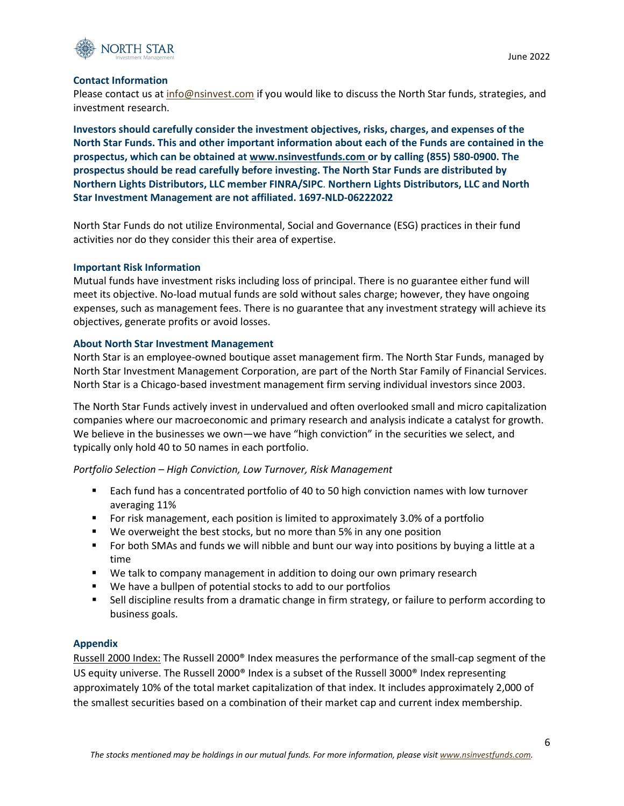

# **Contact Information**

Please contact us at [info@nsinvest.com](mailto:info@nsinvest.com) if you would like to discuss the North Star funds, strategies, and investment research.

**Investors should carefully consider the investment objectives, risks, charges, and expenses of the North Star Funds. This and other important information about each of the Funds are contained in the prospectus, which can be obtained at [www.nsinvestfunds.com o](http://www.nsinvestfunds.com/)r by calling (855) 580-0900. The prospectus should be read carefully before investing. The North Star Funds are distributed by Northern Lights Distributors, LLC member FINRA/SIPC**. **Northern Lights Distributors, LLC and North Star Investment Management are not affiliated. 1697-NLD-06222022**

North Star Funds do not utilize Environmental, Social and Governance (ESG) practices in their fund activities nor do they consider this their area of expertise.

### **Important Risk Information**

Mutual funds have investment risks including loss of principal. There is no guarantee either fund will meet its objective. No-load mutual funds are sold without sales charge; however, they have ongoing expenses, such as management fees. There is no guarantee that any investment strategy will achieve its objectives, generate profits or avoid losses.

## **About North Star Investment Management**

North Star is an employee-owned boutique asset management firm. The North Star Funds, managed by North Star Investment Management Corporation, are part of the North Star Family of Financial Services. North Star is a Chicago-based investment management firm serving individual investors since 2003.

The North Star Funds actively invest in undervalued and often overlooked small and micro capitalization companies where our macroeconomic and primary research and analysis indicate a catalyst for growth. We believe in the businesses we own—we have "high conviction" in the securities we select, and typically only hold 40 to 50 names in each portfolio.

## *Portfolio Selection – High Conviction, Low Turnover, Risk Management*

- **Each fund has a concentrated portfolio of 40 to 50 high conviction names with low turnover** averaging 11%
- For risk management, each position is limited to approximately 3.0% of a portfolio
- We overweight the best stocks, but no more than 5% in any one position
- **F** For both SMAs and funds we will nibble and bunt our way into positions by buying a little at a time
- We talk to company management in addition to doing our own primary research
- We have a bullpen of potential stocks to add to our portfolios
- Sell discipline results from a dramatic change in firm strategy, or failure to perform according to business goals.

## **Appendix**

Russell 2000 Index: The Russell 2000® Index measures the performance of the small-cap segment of the US equity universe. The Russell 2000<sup>®</sup> Index is a subset of the Russell 3000<sup>®</sup> Index representing approximately 10% of the total market capitalization of that index. It includes approximately 2,000 of the smallest securities based on a combination of their market cap and current index membership.